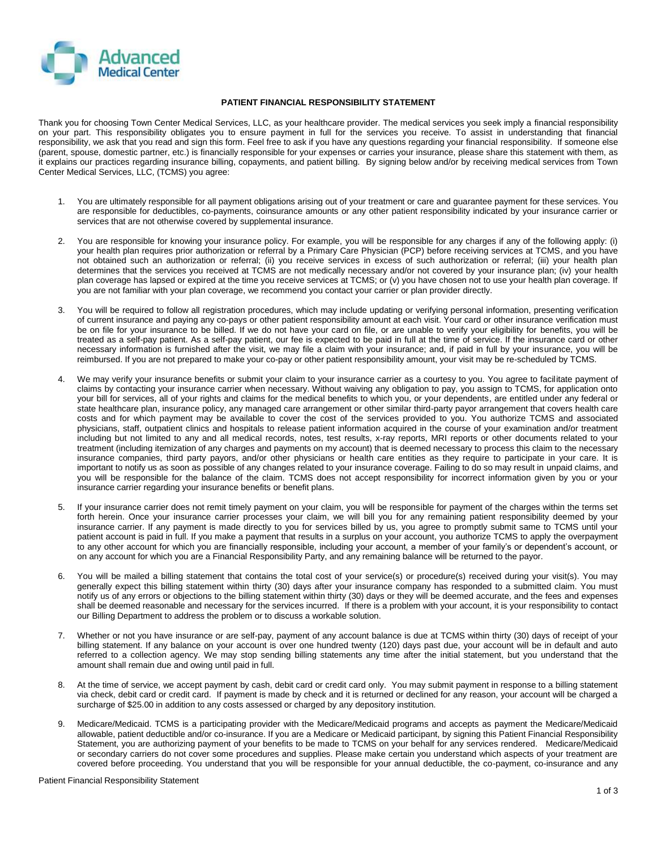

## **PATIENT FINANCIAL RESPONSIBILITY STATEMENT**

Thank you for choosing Town Center Medical Services, LLC, as your healthcare provider. The medical services you seek imply a financial responsibility on your part. This responsibility obligates you to ensure payment in full for the services you receive. To assist in understanding that financial responsibility, we ask that you read and sign this form. Feel free to ask if you have any questions regarding your financial responsibility. If someone else (parent, spouse, domestic partner, etc.) is financially responsible for your expenses or carries your insurance, please share this statement with them, as it explains our practices regarding insurance billing, copayments, and patient billing. By signing below and/or by receiving medical services from Town Center Medical Services, LLC, (TCMS) you agree:

- 1. You are ultimately responsible for all payment obligations arising out of your treatment or care and guarantee payment for these services. You are responsible for deductibles, co-payments, coinsurance amounts or any other patient responsibility indicated by your insurance carrier or services that are not otherwise covered by supplemental insurance.
- 2. You are responsible for knowing your insurance policy. For example, you will be responsible for any charges if any of the following apply: (i) your health plan requires prior authorization or referral by a Primary Care Physician (PCP) before receiving services at TCMS, and you have not obtained such an authorization or referral; (ii) you receive services in excess of such authorization or referral; (iii) your health plan determines that the services you received at TCMS are not medically necessary and/or not covered by your insurance plan; (iv) your health plan coverage has lapsed or expired at the time you receive services at TCMS; or (v) you have chosen not to use your health plan coverage. If you are not familiar with your plan coverage, we recommend you contact your carrier or plan provider directly.
- 3. You will be required to follow all registration procedures, which may include updating or verifying personal information, presenting verification of current insurance and paying any co-pays or other patient responsibility amount at each visit. Your card or other insurance verification must be on file for your insurance to be billed. If we do not have your card on file, or are unable to verify your eligibility for benefits, you will be treated as a self-pay patient. As a self-pay patient, our fee is expected to be paid in full at the time of service. If the insurance card or other necessary information is furnished after the visit, we may file a claim with your insurance; and, if paid in full by your insurance, you will be reimbursed. If you are not prepared to make your co-pay or other patient responsibility amount, your visit may be re-scheduled by TCMS.
- 4. We may verify your insurance benefits or submit your claim to your insurance carrier as a courtesy to you. You agree to facilitate payment of claims by contacting your insurance carrier when necessary. Without waiving any obligation to pay, you assign to TCMS, for application onto your bill for services, all of your rights and claims for the medical benefits to which you, or your dependents, are entitled under any federal or state healthcare plan, insurance policy, any managed care arrangement or other similar third-party payor arrangement that covers health care costs and for which payment may be available to cover the cost of the services provided to you. You authorize TCMS and associated physicians, staff, outpatient clinics and hospitals to release patient information acquired in the course of your examination and/or treatment including but not limited to any and all medical records, notes, test results, x-ray reports, MRI reports or other documents related to your treatment (including itemization of any charges and payments on my account) that is deemed necessary to process this claim to the necessary insurance companies, third party payors, and/or other physicians or health care entities as they require to participate in your care. It is important to notify us as soon as possible of any changes related to your insurance coverage. Failing to do so may result in unpaid claims, and you will be responsible for the balance of the claim. TCMS does not accept responsibility for incorrect information given by you or your insurance carrier regarding your insurance benefits or benefit plans.
- 5. If your insurance carrier does not remit timely payment on your claim, you will be responsible for payment of the charges within the terms set forth herein. Once your insurance carrier processes your claim, we will bill you for any remaining patient responsibility deemed by your insurance carrier. If any payment is made directly to you for services billed by us, you agree to promptly submit same to TCMS until your patient account is paid in full. If you make a payment that results in a surplus on your account, you authorize TCMS to apply the overpayment to any other account for which you are financially responsible, including your account, a member of your family's or dependent's account, or on any account for which you are a Financial Responsibility Party, and any remaining balance will be returned to the payor.
- 6. You will be mailed a billing statement that contains the total cost of your service(s) or procedure(s) received during your visit(s). You may generally expect this billing statement within thirty (30) days after your insurance company has responded to a submitted claim. You must notify us of any errors or objections to the billing statement within thirty (30) days or they will be deemed accurate, and the fees and expenses shall be deemed reasonable and necessary for the services incurred. If there is a problem with your account, it is your responsibility to contact our Billing Department to address the problem or to discuss a workable solution.
- 7. Whether or not you have insurance or are self-pay, payment of any account balance is due at TCMS within thirty (30) days of receipt of your billing statement. If any balance on your account is over one hundred twenty (120) days past due, your account will be in default and auto referred to a collection agency. We may stop sending billing statements any time after the initial statement, but you understand that the amount shall remain due and owing until paid in full.
- 8. At the time of service, we accept payment by cash, debit card or credit card only. You may submit payment in response to a billing statement via check, debit card or credit card. If payment is made by check and it is returned or declined for any reason, your account will be charged a surcharge of \$25.00 in addition to any costs assessed or charged by any depository institution.
- 9. Medicare/Medicaid. TCMS is a participating provider with the Medicare/Medicaid programs and accepts as payment the Medicare/Medicaid allowable, patient deductible and/or co-insurance. If you are a Medicare or Medicaid participant, by signing this Patient Financial Responsibility Statement, you are authorizing payment of your benefits to be made to TCMS on your behalf for any services rendered. Medicare/Medicaid or secondary carriers do not cover some procedures and supplies. Please make certain you understand which aspects of your treatment are covered before proceeding. You understand that you will be responsible for your annual deductible, the co-payment, co-insurance and any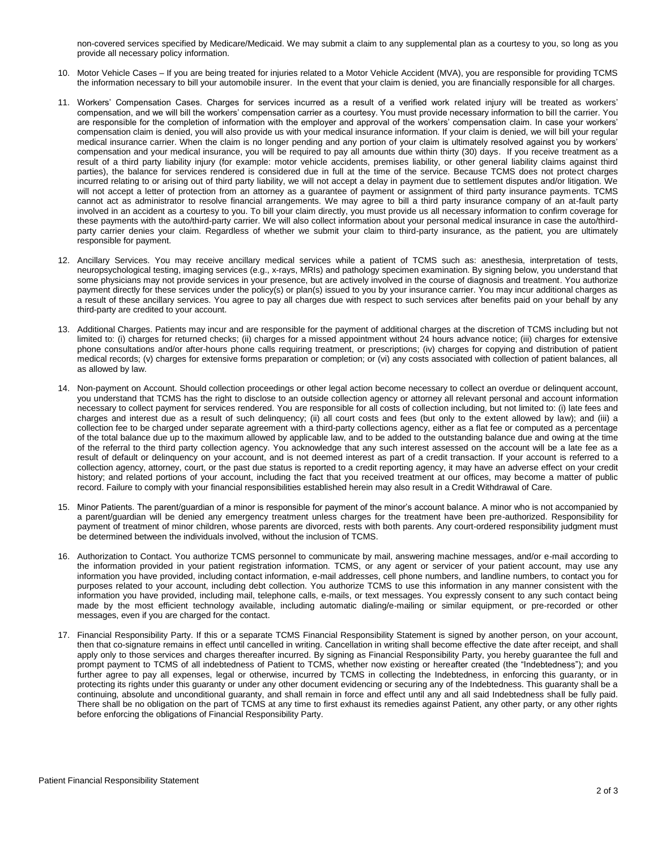non-covered services specified by Medicare/Medicaid. We may submit a claim to any supplemental plan as a courtesy to you, so long as you provide all necessary policy information.

- 10. Motor Vehicle Cases If you are being treated for injuries related to a Motor Vehicle Accident (MVA), you are responsible for providing TCMS the information necessary to bill your automobile insurer. In the event that your claim is denied, you are financially responsible for all charges.
- 11. Workers' Compensation Cases. Charges for services incurred as a result of a verified work related injury will be treated as workers' compensation, and we will bill the workers' compensation carrier as a courtesy. You must provide necessary information to bill the carrier. You are responsible for the completion of information with the employer and approval of the workers' compensation claim. In case your workers' compensation claim is denied, you will also provide us with your medical insurance information. If your claim is denied, we will bill your regular medical insurance carrier. When the claim is no longer pending and any portion of your claim is ultimately resolved against you by workers' compensation and your medical insurance, you will be required to pay all amounts due within thirty (30) days. If you receive treatment as a result of a third party liability injury (for example: motor vehicle accidents, premises liability, or other general liability claims against third parties), the balance for services rendered is considered due in full at the time of the service. Because TCMS does not protect charges incurred relating to or arising out of third party liability, we will not accept a delay in payment due to settlement disputes and/or litigation. We will not accept a letter of protection from an attorney as a guarantee of payment or assignment of third party insurance payments. TCMS cannot act as administrator to resolve financial arrangements. We may agree to bill a third party insurance company of an at-fault party involved in an accident as a courtesy to you. To bill your claim directly, you must provide us all necessary information to confirm coverage for these payments with the auto/third-party carrier. We will also collect information about your personal medical insurance in case the auto/thirdparty carrier denies your claim. Regardless of whether we submit your claim to third-party insurance, as the patient, you are ultimately responsible for payment.
- 12. Ancillary Services. You may receive ancillary medical services while a patient of TCMS such as: anesthesia, interpretation of tests, neuropsychological testing, imaging services (e.g., x-rays, MRIs) and pathology specimen examination. By signing below, you understand that some physicians may not provide services in your presence, but are actively involved in the course of diagnosis and treatment. You authorize payment directly for these services under the policy(s) or plan(s) issued to you by your insurance carrier. You may incur additional charges as a result of these ancillary services. You agree to pay all charges due with respect to such services after benefits paid on your behalf by any third-party are credited to your account.
- 13. Additional Charges. Patients may incur and are responsible for the payment of additional charges at the discretion of TCMS including but not limited to: (i) charges for returned checks; (ii) charges for a missed appointment without 24 hours advance notice; (iii) charges for extensive phone consultations and/or after-hours phone calls requiring treatment, or prescriptions; (iv) charges for copying and distribution of patient medical records; (v) charges for extensive forms preparation or completion; or (vi) any costs associated with collection of patient balances, all as allowed by law.
- 14. Non-payment on Account. Should collection proceedings or other legal action become necessary to collect an overdue or delinquent account, you understand that TCMS has the right to disclose to an outside collection agency or attorney all relevant personal and account information necessary to collect payment for services rendered. You are responsible for all costs of collection including, but not limited to: (i) late fees and charges and interest due as a result of such delinquency; (ii) all court costs and fees (but only to the extent allowed by law); and (iii) a collection fee to be charged under separate agreement with a third-party collections agency, either as a flat fee or computed as a percentage of the total balance due up to the maximum allowed by applicable law, and to be added to the outstanding balance due and owing at the time of the referral to the third party collection agency. You acknowledge that any such interest assessed on the account will be a late fee as a result of default or delinquency on your account, and is not deemed interest as part of a credit transaction. If your account is referred to a collection agency, attorney, court, or the past due status is reported to a credit reporting agency, it may have an adverse effect on your credit history; and related portions of your account, including the fact that you received treatment at our offices, may become a matter of public record. Failure to comply with your financial responsibilities established herein may also result in a Credit Withdrawal of Care.
- 15. Minor Patients. The parent/guardian of a minor is responsible for payment of the minor's account balance. A minor who is not accompanied by a parent/guardian will be denied any emergency treatment unless charges for the treatment have been pre-authorized. Responsibility for payment of treatment of minor children, whose parents are divorced, rests with both parents. Any court-ordered responsibility judgment must be determined between the individuals involved, without the inclusion of TCMS.
- 16. Authorization to Contact. You authorize TCMS personnel to communicate by mail, answering machine messages, and/or e-mail according to the information provided in your patient registration information. TCMS, or any agent or servicer of your patient account, may use any information you have provided, including contact information, e-mail addresses, cell phone numbers, and landline numbers, to contact you for purposes related to your account, including debt collection. You authorize TCMS to use this information in any manner consistent with the information you have provided, including mail, telephone calls, e-mails, or text messages. You expressly consent to any such contact being made by the most efficient technology available, including automatic dialing/e-mailing or similar equipment, or pre-recorded or other messages, even if you are charged for the contact.
- 17. Financial Responsibility Party. If this or a separate TCMS Financial Responsibility Statement is signed by another person, on your account, then that co-signature remains in effect until cancelled in writing. Cancellation in writing shall become effective the date after receipt, and shall apply only to those services and charges thereafter incurred. By signing as Financial Responsibility Party, you hereby guarantee the full and prompt payment to TCMS of all indebtedness of Patient to TCMS, whether now existing or hereafter created (the "Indebtedness"); and you further agree to pay all expenses, legal or otherwise, incurred by TCMS in collecting the Indebtedness, in enforcing this guaranty, or in protecting its rights under this guaranty or under any other document evidencing or securing any of the Indebtedness. This guaranty shall be a continuing, absolute and unconditional guaranty, and shall remain in force and effect until any and all said Indebtedness shall be fully paid. There shall be no obligation on the part of TCMS at any time to first exhaust its remedies against Patient, any other party, or any other rights before enforcing the obligations of Financial Responsibility Party.